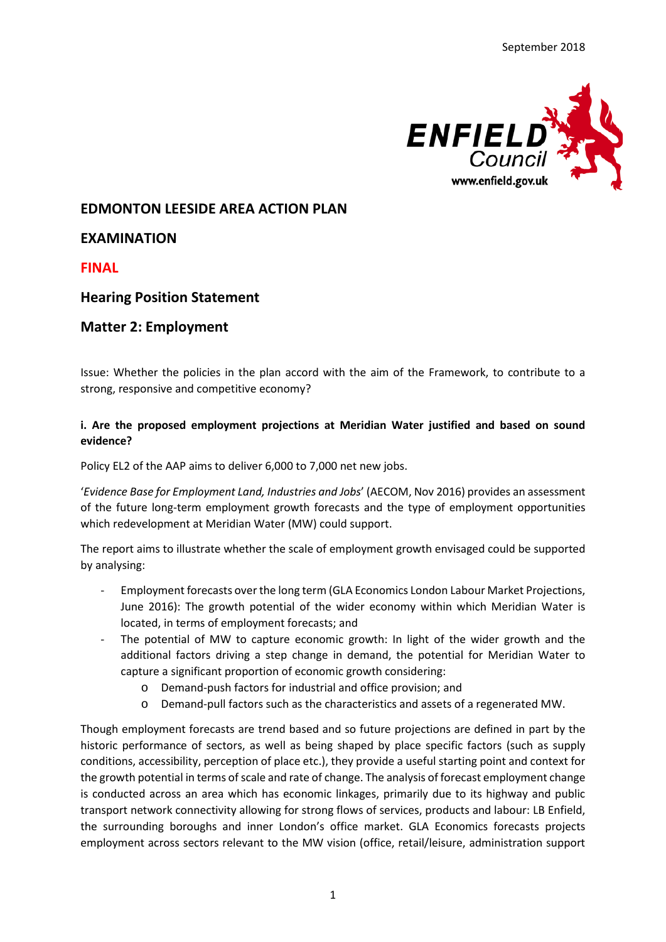

# **EDMONTON LEESIDE AREA ACTION PLAN**

# **EXAMINATION**

**FINAL**

# **Hearing Position Statement**

# **Matter 2: Employment**

Issue: Whether the policies in the plan accord with the aim of the Framework, to contribute to a strong, responsive and competitive economy?

## **i. Are the proposed employment projections at Meridian Water justified and based on sound evidence?**

Policy EL2 of the AAP aims to deliver 6,000 to 7,000 net new jobs.

'*Evidence Base for Employment Land, Industries and Jobs*' (AECOM, Nov 2016) provides an assessment of the future long-term employment growth forecasts and the type of employment opportunities which redevelopment at Meridian Water (MW) could support.

The report aims to illustrate whether the scale of employment growth envisaged could be supported by analysing:

- Employment forecasts over the long term (GLA Economics London Labour Market Projections, June 2016): The growth potential of the wider economy within which Meridian Water is located, in terms of employment forecasts; and
- The potential of MW to capture economic growth: In light of the wider growth and the additional factors driving a step change in demand, the potential for Meridian Water to capture a significant proportion of economic growth considering:
	- o Demand-push factors for industrial and office provision; and
	- o Demand-pull factors such as the characteristics and assets of a regenerated MW.

Though employment forecasts are trend based and so future projections are defined in part by the historic performance of sectors, as well as being shaped by place specific factors (such as supply conditions, accessibility, perception of place etc.), they provide a useful starting point and context for the growth potential in terms of scale and rate of change. The analysis of forecast employment change is conducted across an area which has economic linkages, primarily due to its highway and public transport network connectivity allowing for strong flows of services, products and labour: LB Enfield, the surrounding boroughs and inner London's office market. GLA Economics forecasts projects employment across sectors relevant to the MW vision (office, retail/leisure, administration support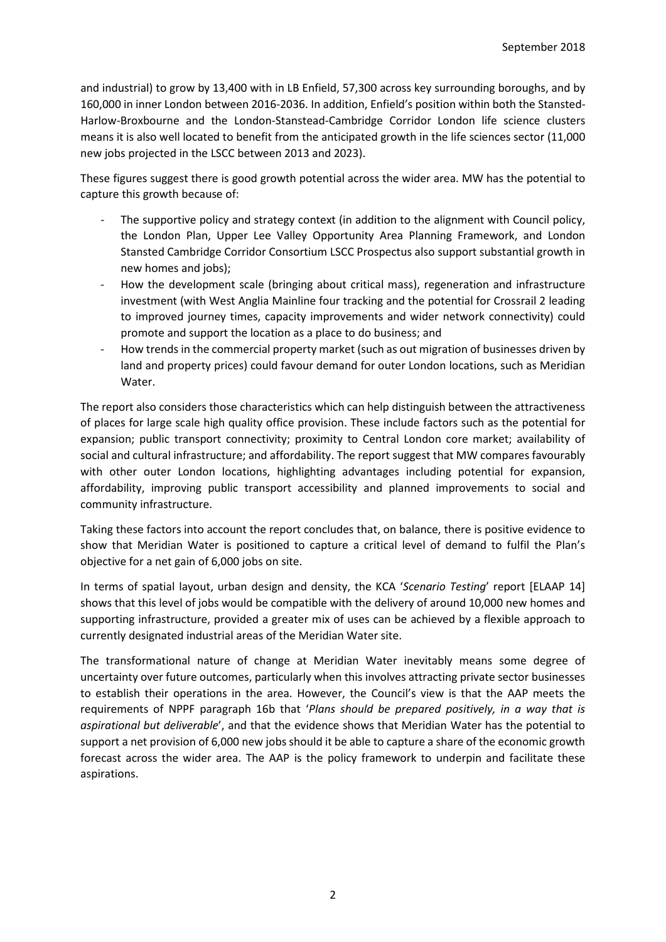and industrial) to grow by 13,400 with in LB Enfield, 57,300 across key surrounding boroughs, and by 160,000 in inner London between 2016-2036. In addition, Enfield's position within both the Stansted-Harlow-Broxbourne and the London-Stanstead-Cambridge Corridor London life science clusters means it is also well located to benefit from the anticipated growth in the life sciences sector (11,000 new jobs projected in the LSCC between 2013 and 2023).

These figures suggest there is good growth potential across the wider area. MW has the potential to capture this growth because of:

- The supportive policy and strategy context (in addition to the alignment with Council policy, the London Plan, Upper Lee Valley Opportunity Area Planning Framework, and London Stansted Cambridge Corridor Consortium LSCC Prospectus also support substantial growth in new homes and jobs);
- How the development scale (bringing about critical mass), regeneration and infrastructure investment (with West Anglia Mainline four tracking and the potential for Crossrail 2 leading to improved journey times, capacity improvements and wider network connectivity) could promote and support the location as a place to do business; and
- How trends in the commercial property market (such as out migration of businesses driven by land and property prices) could favour demand for outer London locations, such as Meridian Water.

The report also considers those characteristics which can help distinguish between the attractiveness of places for large scale high quality office provision. These include factors such as the potential for expansion; public transport connectivity; proximity to Central London core market; availability of social and cultural infrastructure; and affordability. The report suggest that MW compares favourably with other outer London locations, highlighting advantages including potential for expansion, affordability, improving public transport accessibility and planned improvements to social and community infrastructure.

Taking these factors into account the report concludes that, on balance, there is positive evidence to show that Meridian Water is positioned to capture a critical level of demand to fulfil the Plan's objective for a net gain of 6,000 jobs on site.

In terms of spatial layout, urban design and density, the KCA '*Scenario Testing*' report [ELAAP 14] shows that this level of jobs would be compatible with the delivery of around 10,000 new homes and supporting infrastructure, provided a greater mix of uses can be achieved by a flexible approach to currently designated industrial areas of the Meridian Water site.

The transformational nature of change at Meridian Water inevitably means some degree of uncertainty over future outcomes, particularly when this involves attracting private sector businesses to establish their operations in the area. However, the Council's view is that the AAP meets the requirements of NPPF paragraph 16b that '*Plans should be prepared positively, in a way that is aspirational but deliverable*', and that the evidence shows that Meridian Water has the potential to support a net provision of 6,000 new jobs should it be able to capture a share of the economic growth forecast across the wider area. The AAP is the policy framework to underpin and facilitate these aspirations.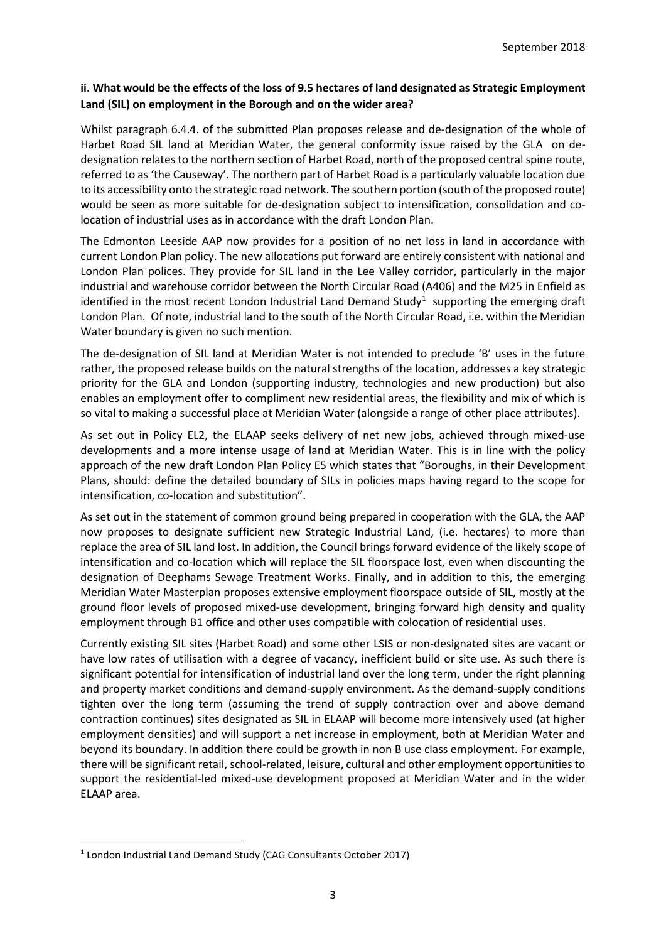## **ii. What would be the effects of the loss of 9.5 hectares of land designated as Strategic Employment Land (SIL) on employment in the Borough and on the wider area?**

Whilst paragraph 6.4.4. of the submitted Plan proposes release and de-designation of the whole of Harbet Road SIL land at Meridian Water, the general conformity issue raised by the GLA on dedesignation relates to the northern section of Harbet Road, north of the proposed central spine route, referred to as 'the Causeway'. The northern part of Harbet Road is a particularly valuable location due to its accessibility onto the strategic road network. The southern portion (south of the proposed route) would be seen as more suitable for de-designation subject to intensification, consolidation and colocation of industrial uses as in accordance with the draft London Plan.

The Edmonton Leeside AAP now provides for a position of no net loss in land in accordance with current London Plan policy. The new allocations put forward are entirely consistent with national and London Plan polices. They provide for SIL land in the Lee Valley corridor, particularly in the major industrial and warehouse corridor between the North Circular Road (A406) and the M25 in Enfield as identified in the most recent London Industrial Land Demand Study<sup>1</sup> supporting the emerging draft London Plan. Of note, industrial land to the south of the North Circular Road, i.e. within the Meridian Water boundary is given no such mention.

The de-designation of SIL land at Meridian Water is not intended to preclude 'B' uses in the future rather, the proposed release builds on the natural strengths of the location, addresses a key strategic priority for the GLA and London (supporting industry, technologies and new production) but also enables an employment offer to compliment new residential areas, the flexibility and mix of which is so vital to making a successful place at Meridian Water (alongside a range of other place attributes).

As set out in Policy EL2, the ELAAP seeks delivery of net new jobs, achieved through mixed-use developments and a more intense usage of land at Meridian Water. This is in line with the policy approach of the new draft London Plan Policy E5 which states that "Boroughs, in their Development Plans, should: define the detailed boundary of SILs in policies maps having regard to the scope for intensification, co-location and substitution".

As set out in the statement of common ground being prepared in cooperation with the GLA, the AAP now proposes to designate sufficient new Strategic Industrial Land, (i.e. hectares) to more than replace the area of SIL land lost. In addition, the Council brings forward evidence of the likely scope of intensification and co-location which will replace the SIL floorspace lost, even when discounting the designation of Deephams Sewage Treatment Works. Finally, and in addition to this, the emerging Meridian Water Masterplan proposes extensive employment floorspace outside of SIL, mostly at the ground floor levels of proposed mixed-use development, bringing forward high density and quality employment through B1 office and other uses compatible with colocation of residential uses.

Currently existing SIL sites (Harbet Road) and some other LSIS or non-designated sites are vacant or have low rates of utilisation with a degree of vacancy, inefficient build or site use. As such there is significant potential for intensification of industrial land over the long term, under the right planning and property market conditions and demand-supply environment. As the demand-supply conditions tighten over the long term (assuming the trend of supply contraction over and above demand contraction continues) sites designated as SIL in ELAAP will become more intensively used (at higher employment densities) and will support a net increase in employment, both at Meridian Water and beyond its boundary. In addition there could be growth in non B use class employment. For example, there will be significant retail, school-related, leisure, cultural and other employment opportunities to support the residential-led mixed-use development proposed at Meridian Water and in the wider ELAAP area.

<span id="page-2-0"></span> <sup>1</sup> London Industrial Land Demand Study (CAG Consultants October 2017)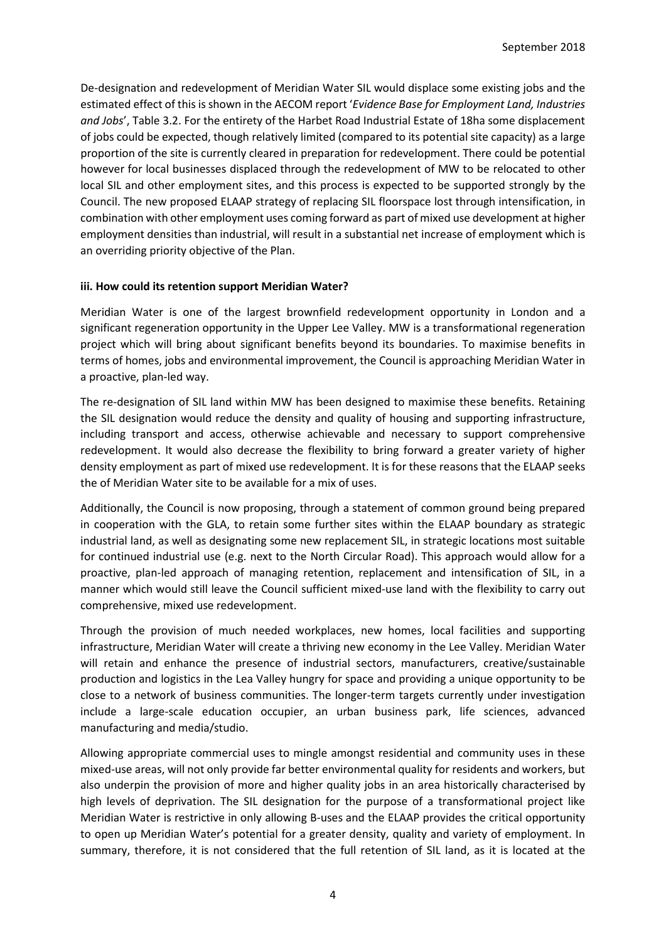De-designation and redevelopment of Meridian Water SIL would displace some existing jobs and the estimated effect of this is shown in the AECOM report '*Evidence Base for Employment Land, Industries and Jobs*', Table 3.2. For the entirety of the Harbet Road Industrial Estate of 18ha some displacement of jobs could be expected, though relatively limited (compared to its potential site capacity) as a large proportion of the site is currently cleared in preparation for redevelopment. There could be potential however for local businesses displaced through the redevelopment of MW to be relocated to other local SIL and other employment sites, and this process is expected to be supported strongly by the Council. The new proposed ELAAP strategy of replacing SIL floorspace lost through intensification, in combination with other employment uses coming forward as part of mixed use development at higher employment densities than industrial, will result in a substantial net increase of employment which is an overriding priority objective of the Plan.

#### **iii. How could its retention support Meridian Water?**

Meridian Water is one of the largest brownfield redevelopment opportunity in London and a significant regeneration opportunity in the Upper Lee Valley. MW is a transformational regeneration project which will bring about significant benefits beyond its boundaries. To maximise benefits in terms of homes, jobs and environmental improvement, the Council is approaching Meridian Water in a proactive, plan-led way.

The re-designation of SIL land within MW has been designed to maximise these benefits. Retaining the SIL designation would reduce the density and quality of housing and supporting infrastructure, including transport and access, otherwise achievable and necessary to support comprehensive redevelopment. It would also decrease the flexibility to bring forward a greater variety of higher density employment as part of mixed use redevelopment. It is for these reasons that the ELAAP seeks the of Meridian Water site to be available for a mix of uses.

Additionally, the Council is now proposing, through a statement of common ground being prepared in cooperation with the GLA, to retain some further sites within the ELAAP boundary as strategic industrial land, as well as designating some new replacement SIL, in strategic locations most suitable for continued industrial use (e.g. next to the North Circular Road). This approach would allow for a proactive, plan-led approach of managing retention, replacement and intensification of SIL, in a manner which would still leave the Council sufficient mixed-use land with the flexibility to carry out comprehensive, mixed use redevelopment.

Through the provision of much needed workplaces, new homes, local facilities and supporting infrastructure, Meridian Water will create a thriving new economy in the Lee Valley. Meridian Water will retain and enhance the presence of industrial sectors, manufacturers, creative/sustainable production and logistics in the Lea Valley hungry for space and providing a unique opportunity to be close to a network of business communities. The longer-term targets currently under investigation include a large-scale education occupier, an urban business park, life sciences, advanced manufacturing and media/studio.

Allowing appropriate commercial uses to mingle amongst residential and community uses in these mixed-use areas, will not only provide far better environmental quality for residents and workers, but also underpin the provision of more and higher quality jobs in an area historically characterised by high levels of deprivation. The SIL designation for the purpose of a transformational project like Meridian Water is restrictive in only allowing B-uses and the ELAAP provides the critical opportunity to open up Meridian Water's potential for a greater density, quality and variety of employment. In summary, therefore, it is not considered that the full retention of SIL land, as it is located at the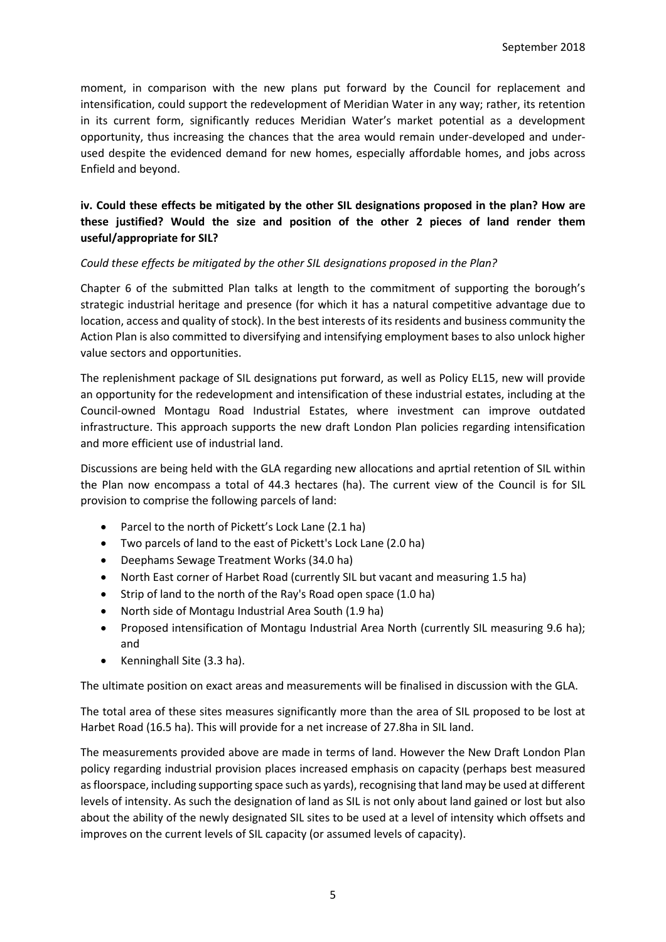moment, in comparison with the new plans put forward by the Council for replacement and intensification, could support the redevelopment of Meridian Water in any way; rather, its retention in its current form, significantly reduces Meridian Water's market potential as a development opportunity, thus increasing the chances that the area would remain under-developed and underused despite the evidenced demand for new homes, especially affordable homes, and jobs across Enfield and beyond.

## **iv. Could these effects be mitigated by the other SIL designations proposed in the plan? How are these justified? Would the size and position of the other 2 pieces of land render them useful/appropriate for SIL?**

#### *Could these effects be mitigated by the other SIL designations proposed in the Plan?*

Chapter 6 of the submitted Plan talks at length to the commitment of supporting the borough's strategic industrial heritage and presence (for which it has a natural competitive advantage due to location, access and quality of stock). In the best interests of its residents and business community the Action Plan is also committed to diversifying and intensifying employment bases to also unlock higher value sectors and opportunities.

The replenishment package of SIL designations put forward, as well as Policy EL15, new will provide an opportunity for the redevelopment and intensification of these industrial estates, including at the Council-owned Montagu Road Industrial Estates, where investment can improve outdated infrastructure. This approach supports the new draft London Plan policies regarding intensification and more efficient use of industrial land.

Discussions are being held with the GLA regarding new allocations and aprtial retention of SIL within the Plan now encompass a total of 44.3 hectares (ha). The current view of the Council is for SIL provision to comprise the following parcels of land:

- Parcel to the north of Pickett's Lock Lane (2.1 ha)
- Two parcels of land to the east of Pickett's Lock Lane (2.0 ha)
- Deephams Sewage Treatment Works (34.0 ha)
- North East corner of Harbet Road (currently SIL but vacant and measuring 1.5 ha)
- Strip of land to the north of the Ray's Road open space (1.0 ha)
- North side of Montagu Industrial Area South (1.9 ha)
- Proposed intensification of Montagu Industrial Area North (currently SIL measuring 9.6 ha); and
- Kenninghall Site (3.3 ha).

The ultimate position on exact areas and measurements will be finalised in discussion with the GLA.

The total area of these sites measures significantly more than the area of SIL proposed to be lost at Harbet Road (16.5 ha). This will provide for a net increase of 27.8ha in SIL land.

The measurements provided above are made in terms of land. However the New Draft London Plan policy regarding industrial provision places increased emphasis on capacity (perhaps best measured as floorspace, including supporting space such as yards), recognising that land may be used at different levels of intensity. As such the designation of land as SIL is not only about land gained or lost but also about the ability of the newly designated SIL sites to be used at a level of intensity which offsets and improves on the current levels of SIL capacity (or assumed levels of capacity).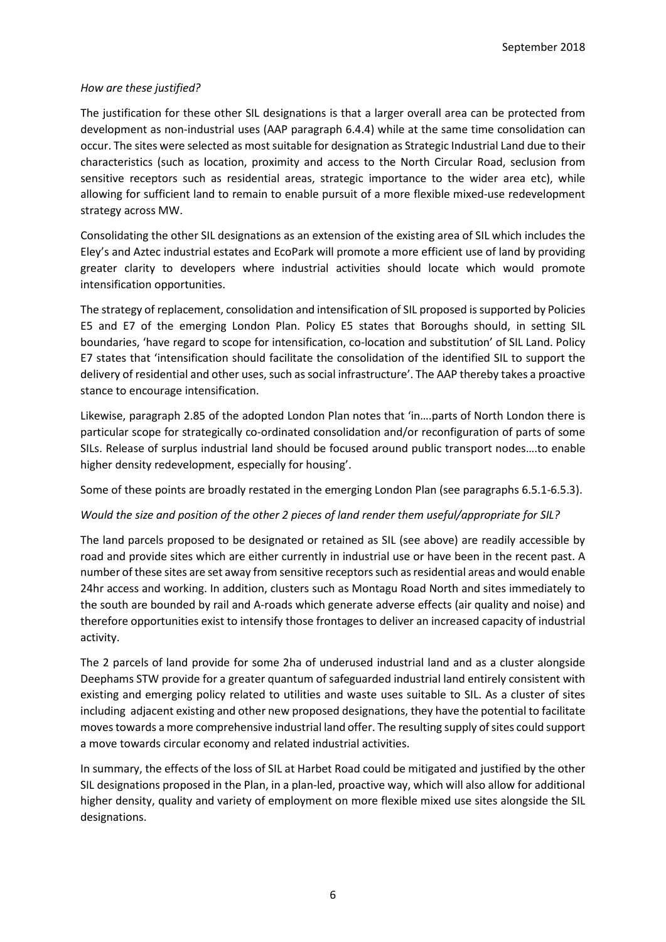#### *How are these justified?*

The justification for these other SIL designations is that a larger overall area can be protected from development as non-industrial uses (AAP paragraph 6.4.4) while at the same time consolidation can occur. The sites were selected as most suitable for designation as Strategic Industrial Land due to their characteristics (such as location, proximity and access to the North Circular Road, seclusion from sensitive receptors such as residential areas, strategic importance to the wider area etc), while allowing for sufficient land to remain to enable pursuit of a more flexible mixed-use redevelopment strategy across MW.

Consolidating the other SIL designations as an extension of the existing area of SIL which includes the Eley's and Aztec industrial estates and EcoPark will promote a more efficient use of land by providing greater clarity to developers where industrial activities should locate which would promote intensification opportunities.

The strategy of replacement, consolidation and intensification of SIL proposed is supported by Policies E5 and E7 of the emerging London Plan. Policy E5 states that Boroughs should, in setting SIL boundaries, 'have regard to scope for intensification, co-location and substitution' of SIL Land. Policy E7 states that 'intensification should facilitate the consolidation of the identified SIL to support the delivery of residential and other uses, such as social infrastructure'. The AAP thereby takes a proactive stance to encourage intensification.

Likewise, paragraph 2.85 of the adopted London Plan notes that 'in….parts of North London there is particular scope for strategically co-ordinated consolidation and/or reconfiguration of parts of some SILs. Release of surplus industrial land should be focused around public transport nodes….to enable higher density redevelopment, especially for housing'.

Some of these points are broadly restated in the emerging London Plan (see paragraphs 6.5.1-6.5.3).

#### *Would the size and position of the other 2 pieces of land render them useful/appropriate for SIL?*

The land parcels proposed to be designated or retained as SIL (see above) are readily accessible by road and provide sites which are either currently in industrial use or have been in the recent past. A number of these sites are set away from sensitive receptors such as residential areas and would enable 24hr access and working. In addition, clusters such as Montagu Road North and sites immediately to the south are bounded by rail and A-roads which generate adverse effects (air quality and noise) and therefore opportunities exist to intensify those frontages to deliver an increased capacity of industrial activity.

The 2 parcels of land provide for some 2ha of underused industrial land and as a cluster alongside Deephams STW provide for a greater quantum of safeguarded industrial land entirely consistent with existing and emerging policy related to utilities and waste uses suitable to SIL. As a cluster of sites including adjacent existing and other new proposed designations, they have the potential to facilitate moves towards a more comprehensive industrial land offer. The resulting supply of sites could support a move towards circular economy and related industrial activities.

In summary, the effects of the loss of SIL at Harbet Road could be mitigated and justified by the other SIL designations proposed in the Plan, in a plan-led, proactive way, which will also allow for additional higher density, quality and variety of employment on more flexible mixed use sites alongside the SIL designations.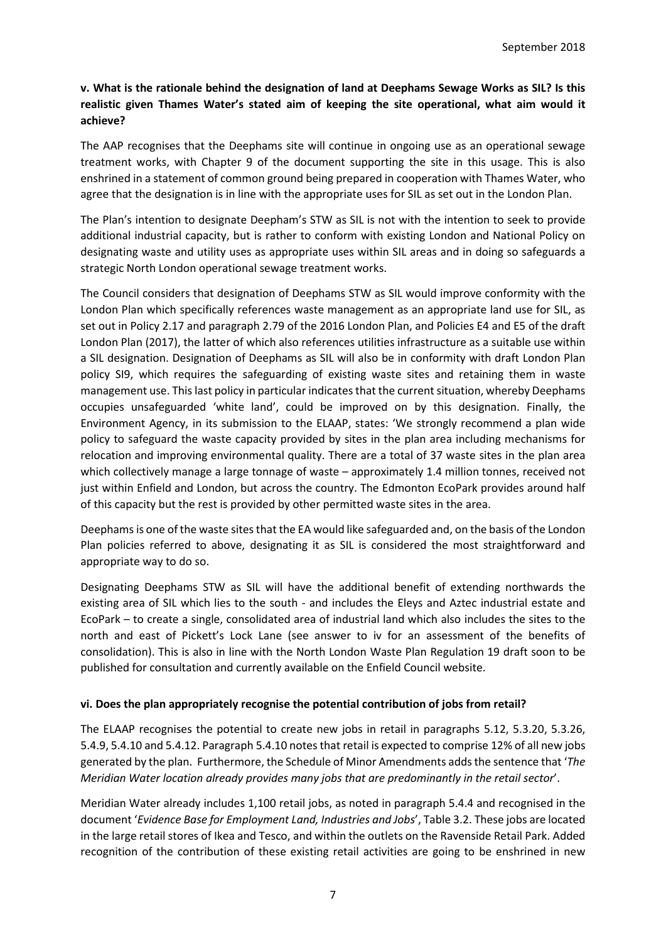## **v. What is the rationale behind the designation of land at Deephams Sewage Works as SIL? Is this realistic given Thames Water's stated aim of keeping the site operational, what aim would it achieve?**

The AAP recognises that the Deephams site will continue in ongoing use as an operational sewage treatment works, with Chapter 9 of the document supporting the site in this usage. This is also enshrined in a statement of common ground being prepared in cooperation with Thames Water, who agree that the designation is in line with the appropriate uses for SIL as set out in the London Plan.

The Plan's intention to designate Deepham's STW as SIL is not with the intention to seek to provide additional industrial capacity, but is rather to conform with existing London and National Policy on designating waste and utility uses as appropriate uses within SIL areas and in doing so safeguards a strategic North London operational sewage treatment works.

The Council considers that designation of Deephams STW as SIL would improve conformity with the London Plan which specifically references waste management as an appropriate land use for SIL, as set out in Policy 2.17 and paragraph 2.79 of the 2016 London Plan, and Policies E4 and E5 of the draft London Plan (2017), the latter of which also references utilities infrastructure as a suitable use within a SIL designation. Designation of Deephams as SIL will also be in conformity with draft London Plan policy SI9, which requires the safeguarding of existing waste sites and retaining them in waste management use. This last policy in particular indicates that the current situation, whereby Deephams occupies unsafeguarded 'white land', could be improved on by this designation. Finally, the Environment Agency, in its submission to the ELAAP, states: 'We strongly recommend a plan wide policy to safeguard the waste capacity provided by sites in the plan area including mechanisms for relocation and improving environmental quality. There are a total of 37 waste sites in the plan area which collectively manage a large tonnage of waste – approximately 1.4 million tonnes, received not just within Enfield and London, but across the country. The Edmonton EcoPark provides around half of this capacity but the rest is provided by other permitted waste sites in the area.

Deephams is one of the waste sites that the EA would like safeguarded and, on the basis of the London Plan policies referred to above, designating it as SIL is considered the most straightforward and appropriate way to do so.

Designating Deephams STW as SIL will have the additional benefit of extending northwards the existing area of SIL which lies to the south - and includes the Eleys and Aztec industrial estate and EcoPark – to create a single, consolidated area of industrial land which also includes the sites to the north and east of Pickett's Lock Lane (see answer to iv for an assessment of the benefits of consolidation). This is also in line with the North London Waste Plan Regulation 19 draft soon to be published for consultation and currently available on the Enfield Council website.

## **vi. Does the plan appropriately recognise the potential contribution of jobs from retail?**

The ELAAP recognises the potential to create new jobs in retail in paragraphs 5.12, 5.3.20, 5.3.26, 5.4.9, 5.4.10 and 5.4.12. Paragraph 5.4.10 notes that retail is expected to comprise 12% of all new jobs generated by the plan. Furthermore, the Schedule of Minor Amendments adds the sentence that '*The Meridian Water location already provides many jobs that are predominantly in the retail sector*'.

Meridian Water already includes 1,100 retail jobs, as noted in paragraph 5.4.4 and recognised in the document '*Evidence Base for Employment Land, Industries and Jobs*', Table 3.2. These jobs are located in the large retail stores of Ikea and Tesco, and within the outlets on the Ravenside Retail Park. Added recognition of the contribution of these existing retail activities are going to be enshrined in new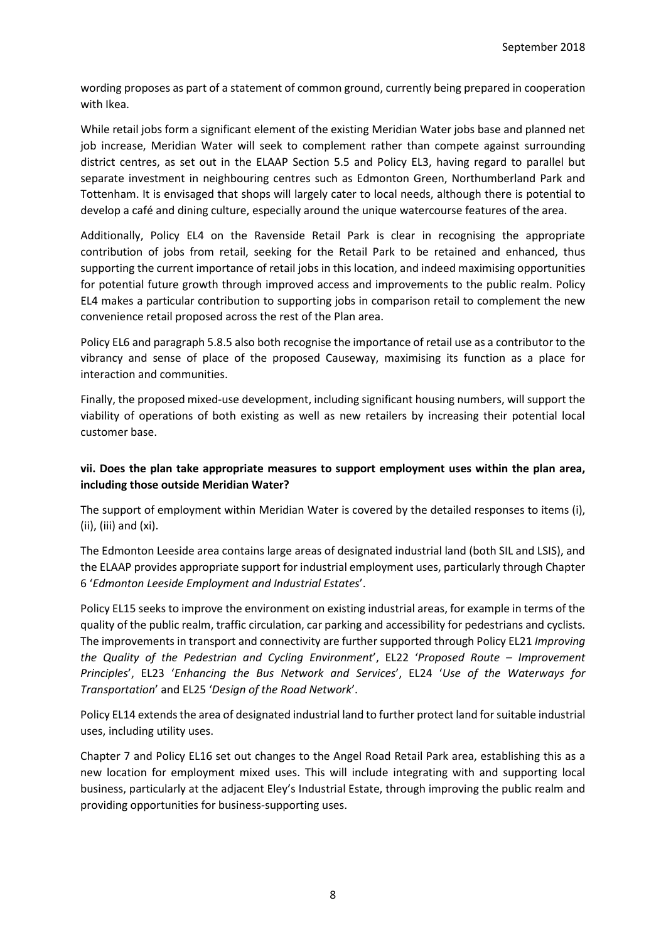wording proposes as part of a statement of common ground, currently being prepared in cooperation with Ikea.

While retail jobs form a significant element of the existing Meridian Water jobs base and planned net job increase, Meridian Water will seek to complement rather than compete against surrounding district centres, as set out in the ELAAP Section 5.5 and Policy EL3, having regard to parallel but separate investment in neighbouring centres such as Edmonton Green, Northumberland Park and Tottenham. It is envisaged that shops will largely cater to local needs, although there is potential to develop a café and dining culture, especially around the unique watercourse features of the area.

Additionally, Policy EL4 on the Ravenside Retail Park is clear in recognising the appropriate contribution of jobs from retail, seeking for the Retail Park to be retained and enhanced, thus supporting the current importance of retail jobs in this location, and indeed maximising opportunities for potential future growth through improved access and improvements to the public realm. Policy EL4 makes a particular contribution to supporting jobs in comparison retail to complement the new convenience retail proposed across the rest of the Plan area.

Policy EL6 and paragraph 5.8.5 also both recognise the importance of retail use as a contributor to the vibrancy and sense of place of the proposed Causeway, maximising its function as a place for interaction and communities.

Finally, the proposed mixed-use development, including significant housing numbers, will support the viability of operations of both existing as well as new retailers by increasing their potential local customer base.

## **vii. Does the plan take appropriate measures to support employment uses within the plan area, including those outside Meridian Water?**

The support of employment within Meridian Water is covered by the detailed responses to items (i), (ii), (iii) and (xi).

The Edmonton Leeside area contains large areas of designated industrial land (both SIL and LSIS), and the ELAAP provides appropriate support for industrial employment uses, particularly through Chapter 6 '*Edmonton Leeside Employment and Industrial Estates*'.

Policy EL15 seeks to improve the environment on existing industrial areas, for example in terms of the quality of the public realm, traffic circulation, car parking and accessibility for pedestrians and cyclists. The improvements in transport and connectivity are further supported through Policy EL21 *Improving the Quality of the Pedestrian and Cycling Environment*', EL22 '*Proposed Route – Improvement Principles*', EL23 '*Enhancing the Bus Network and Services*', EL24 '*Use of the Waterways for Transportation*' and EL25 '*Design of the Road Network*'.

Policy EL14 extends the area of designated industrial land to further protect land for suitable industrial uses, including utility uses.

Chapter 7 and Policy EL16 set out changes to the Angel Road Retail Park area, establishing this as a new location for employment mixed uses. This will include integrating with and supporting local business, particularly at the adjacent Eley's Industrial Estate, through improving the public realm and providing opportunities for business-supporting uses.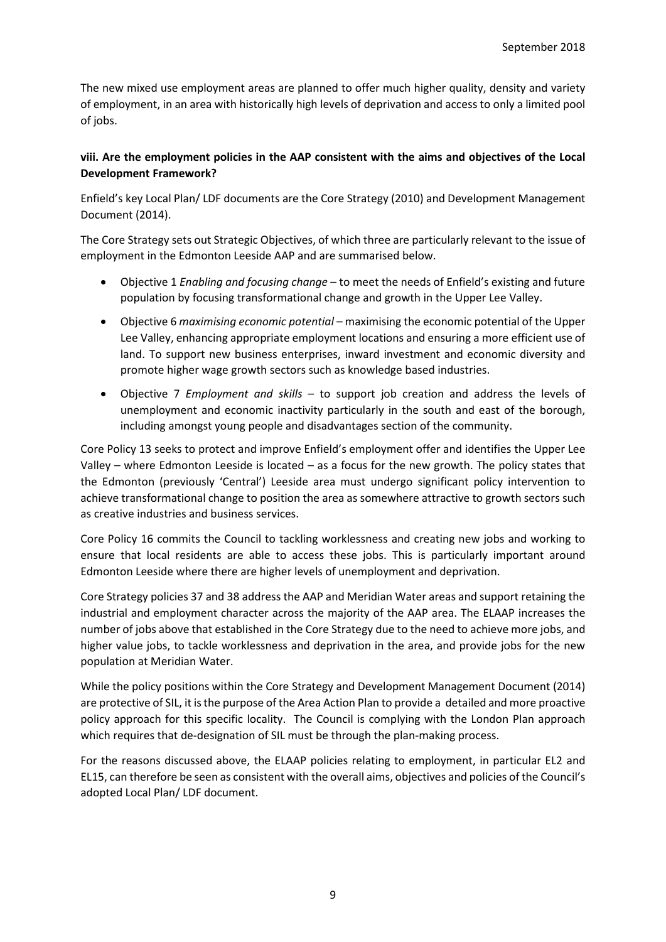The new mixed use employment areas are planned to offer much higher quality, density and variety of employment, in an area with historically high levels of deprivation and access to only a limited pool of jobs.

## **viii. Are the employment policies in the AAP consistent with the aims and objectives of the Local Development Framework?**

Enfield's key Local Plan/ LDF documents are the Core Strategy (2010) and Development Management Document (2014).

The Core Strategy sets out Strategic Objectives, of which three are particularly relevant to the issue of employment in the Edmonton Leeside AAP and are summarised below.

- Objective 1 *Enabling and focusing change* to meet the needs of Enfield's existing and future population by focusing transformational change and growth in the Upper Lee Valley.
- Objective 6 *maximising economic potential* maximising the economic potential of the Upper Lee Valley, enhancing appropriate employment locations and ensuring a more efficient use of land. To support new business enterprises, inward investment and economic diversity and promote higher wage growth sectors such as knowledge based industries.
- Objective 7 *Employment and skills* to support job creation and address the levels of unemployment and economic inactivity particularly in the south and east of the borough, including amongst young people and disadvantages section of the community.

Core Policy 13 seeks to protect and improve Enfield's employment offer and identifies the Upper Lee Valley – where Edmonton Leeside is located – as a focus for the new growth. The policy states that the Edmonton (previously 'Central') Leeside area must undergo significant policy intervention to achieve transformational change to position the area as somewhere attractive to growth sectors such as creative industries and business services.

Core Policy 16 commits the Council to tackling worklessness and creating new jobs and working to ensure that local residents are able to access these jobs. This is particularly important around Edmonton Leeside where there are higher levels of unemployment and deprivation.

Core Strategy policies 37 and 38 address the AAP and Meridian Water areas and support retaining the industrial and employment character across the majority of the AAP area. The ELAAP increases the number of jobs above that established in the Core Strategy due to the need to achieve more jobs, and higher value jobs, to tackle worklessness and deprivation in the area, and provide jobs for the new population at Meridian Water.

While the policy positions within the Core Strategy and Development Management Document (2014) are protective of SIL, it is the purpose of the Area Action Plan to provide a detailed and more proactive policy approach for this specific locality. The Council is complying with the London Plan approach which requires that de-designation of SIL must be through the plan-making process.

For the reasons discussed above, the ELAAP policies relating to employment, in particular EL2 and EL15, can therefore be seen as consistent with the overall aims, objectives and policies of the Council's adopted Local Plan/ LDF document.